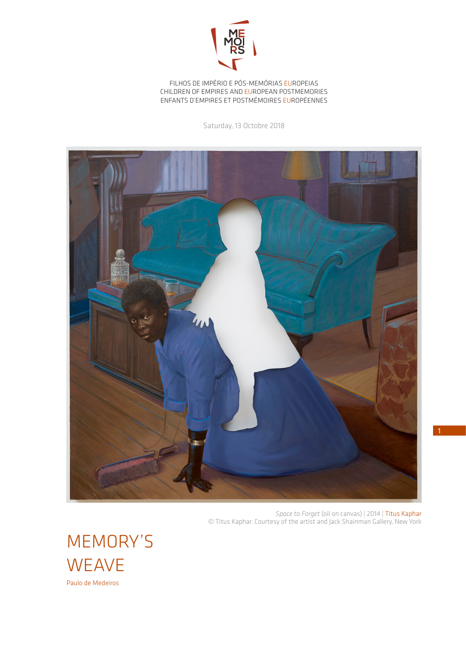

FILHOS DE IMPÉRIO E PÓS-MEMÓRIAS EUROPEIAS CHILDREN OF EMPIRES AND EUROPEAN POSTMEMORIES ENFANTS D'EMPIRES ET POSTMÉMOIRES EUROPÉENNES

Saturday, 13 Octobre 2018



*Space to Forget* (oil on canvas) | 2014 | Titus Kaphar © Titus Kaphar. Courtesy of the artist and Jack Shainman Gallery, New York

MEMORY'S **WEAVE** Paulo de Medeiros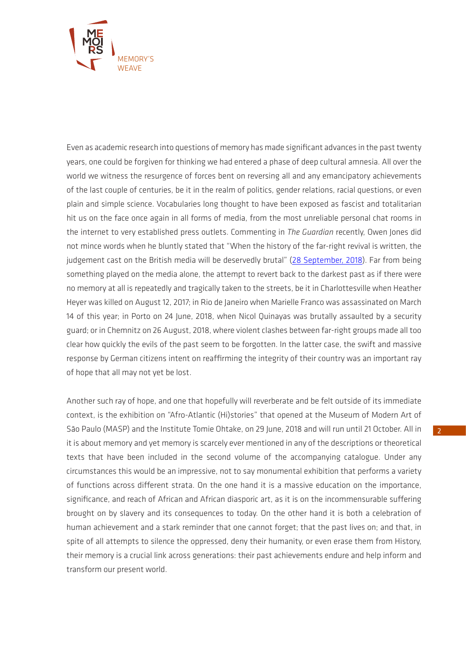

Even as academic research into questions of memory has made significant advances in the past twenty years, one could be forgiven for thinking we had entered a phase of deep cultural amnesia. All over the world we witness the resurgence of forces bent on reversing all and any emancipatory achievements of the last couple of centuries, be it in the realm of politics, gender relations, racial questions, or even plain and simple science. Vocabularies long thought to have been exposed as fascist and totalitarian hit us on the face once again in all forms of media, from the most unreliable personal chat rooms in the internet to very established press outlets. Commenting in *The Guardian* recently, Owen Jones did not mince words when he bluntly stated that "When the history of the far-right revival is written, the judgement cast on the British media will be deservedly brutal" [\(28 September, 2018](https://www.artslant.com/ny/articles/show/42020-titus-kaphar-pulls-back-the-curtains-on-racial-injustice-past-and-present)). Far from being something played on the media alone, the attempt to revert back to the darkest past as if there were no memory at all is repeatedly and tragically taken to the streets, be it in Charlottesville when Heather Heyer was killed on August 12, 2017; in Rio de Janeiro when Marielle Franco was assassinated on March 14 of this year; in Porto on 24 June, 2018, when Nicol Quinayas was brutally assaulted by a security guard; or in Chemnitz on 26 August, 2018, where violent clashes between far-right groups made all too clear how quickly the evils of the past seem to be forgotten. In the latter case, the swift and massive response by German citizens intent on reaffirming the integrity of their country was an important ray of hope that all may not yet be lost.

Another such ray of hope, and one that hopefully will reverberate and be felt outside of its immediate context, is the exhibition on "Afro-Atlantic (Hi)stories" that opened at the Museum of Modern Art of São Paulo (MASP) and the Institute Tomie Ohtake, on 29 June, 2018 and will run until 21 October. All in it is about memory and yet memory is scarcely ever mentioned in any of the descriptions or theoretical texts that have been included in the second volume of the accompanying catalogue. Under any circumstances this would be an impressive, not to say monumental exhibition that performs a variety of functions across different strata. On the one hand it is a massive education on the importance, significance, and reach of African and African diasporic art, as it is on the incommensurable suffering brought on by slavery and its consequences to today. On the other hand it is both a celebration of human achievement and a stark reminder that one cannot forget; that the past lives on; and that, in spite of all attempts to silence the oppressed, deny their humanity, or even erase them from History, their memory is a crucial link across generations: their past achievements endure and help inform and transform our present world.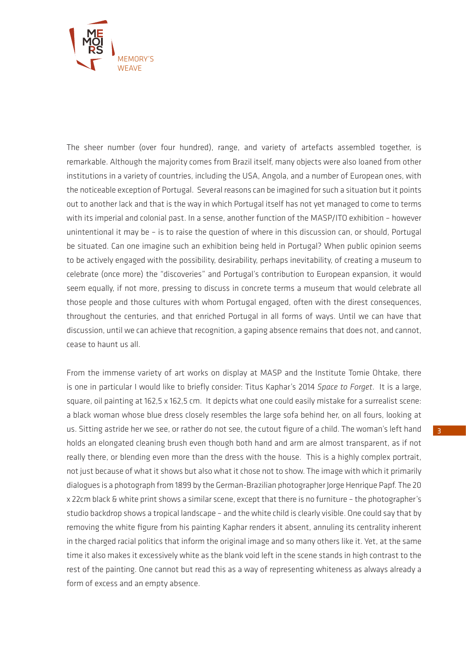

The sheer number (over four hundred), range, and variety of artefacts assembled together, is remarkable. Although the majority comes from Brazil itself, many objects were also loaned from other institutions in a variety of countries, including the USA, Angola, and a number of European ones, with the noticeable exception of Portugal. Several reasons can be imagined for such a situation but it points out to another lack and that is the way in which Portugal itself has not yet managed to come to terms with its imperial and colonial past. In a sense, another function of the MASP/ITO exhibition – however unintentional it may be – is to raise the question of where in this discussion can, or should, Portugal be situated. Can one imagine such an exhibition being held in Portugal? When public opinion seems to be actively engaged with the possibility, desirability, perhaps inevitability, of creating a museum to celebrate (once more) the "discoveries" and Portugal's contribution to European expansion, it would seem equally, if not more, pressing to discuss in concrete terms a museum that would celebrate all those people and those cultures with whom Portugal engaged, often with the direst consequences, throughout the centuries, and that enriched Portugal in all forms of ways. Until we can have that discussion, until we can achieve that recognition, a gaping absence remains that does not, and cannot, cease to haunt us all.

From the immense variety of art works on display at MASP and the Institute Tomie Ohtake, there is one in particular I would like to briefly consider: Titus Kaphar's 2014 *Space to Forget*. It is a large, square, oil painting at 162,5 x 162,5 cm. It depicts what one could easily mistake for a surrealist scene: a black woman whose blue dress closely resembles the large sofa behind her, on all fours, looking at us. Sitting astride her we see, or rather do not see, the cutout figure of a child. The woman's left hand holds an elongated cleaning brush even though both hand and arm are almost transparent, as if not really there, or blending even more than the dress with the house. This is a highly complex portrait, not just because of what it shows but also what it chose not to show. The image with which it primarily dialogues is a photograph from 1899 by the German-Brazilian photographer Jorge Henrique Papf. The 20 x 22cm black & white print shows a similar scene, except that there is no furniture – the photographer's studio backdrop shows a tropical landscape – and the white child is clearly visible. One could say that by removing the white figure from his painting Kaphar renders it absent, annuling its centrality inherent in the charged racial politics that inform the original image and so many others like it. Yet, at the same time it also makes it excessively white as the blank void left in the scene stands in high contrast to the rest of the painting. One cannot but read this as a way of representing whiteness as always already a form of excess and an empty absence.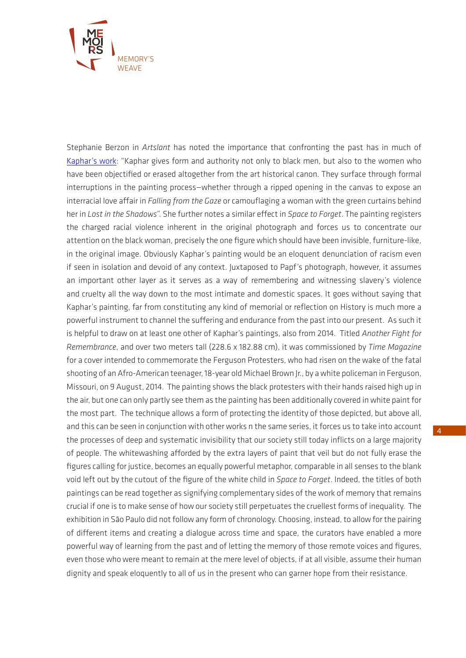

Stephanie Berzon in *Artslant* has noted the importance that confronting the past has in much of [Kaphar's work:](https://www.artslant.com/ny/articles/show/42020-titus-kaphar-pulls-back-the-curtains-on-racial-injustice-past-and-present) "Kaphar gives form and authority not only to black men, but also to the women who have been objectified or erased altogether from the art historical canon. They surface through formal interruptions in the painting process—whether through a ripped opening in the canvas to expose an interracial love affair in *Falling from the Gaze* or camouflaging a woman with the green curtains behind her in *Lost in the Shadows*". She further notes a similar effect in *Space to Forget*. The painting registers the charged racial violence inherent in the original photograph and forces us to concentrate our attention on the black woman, precisely the one figure which should have been invisible, furniture-like, in the original image. Obviously Kaphar's painting would be an eloquent denunciation of racism even if seen in isolation and devoid of any context. Juxtaposed to Papf's photograph, however, it assumes an important other layer as it serves as a way of remembering and witnessing slavery's violence and cruelty all the way down to the most intimate and domestic spaces. It goes without saying that Kaphar's painting, far from constituting any kind of memorial or reflection on History is much more a powerful instrument to channel the suffering and endurance from the past into our present. As such it is helpful to draw on at least one other of Kaphar's paintings, also from 2014. Titled *Another Fight for Remembrance*, and over two meters tall (228.6 x 182.88 cm), it was commissioned by *Time Magazine* for a cover intended to commemorate the Ferguson Protesters, who had risen on the wake of the fatal shooting of an Afro-American teenager, 18-year old Michael Brown Jr., by a white policeman in Ferguson, Missouri, on 9 August, 2014. The painting shows the black protesters with their hands raised high up in the air, but one can only partly see them as the painting has been additionally covered in white paint for the most part. The technique allows a form of protecting the identity of those depicted, but above all, and this can be seen in conjunction with other works n the same series, it forces us to take into account the processes of deep and systematic invisibility that our society still today inflicts on a large majority of people. The whitewashing afforded by the extra layers of paint that veil but do not fully erase the figures calling for justice, becomes an equally powerful metaphor, comparable in all senses to the blank void left out by the cutout of the figure of the white child in *Space to Forget*. Indeed, the titles of both paintings can be read together as signifying complementary sides of the work of memory that remains crucial if one is to make sense of how our society still perpetuates the cruellest forms of inequality. The exhibition in São Paulo did not follow any form of chronology. Choosing, instead, to allow for the pairing of different items and creating a dialogue across time and space, the curators have enabled a more powerful way of learning from the past and of letting the memory of those remote voices and figures, even those who were meant to remain at the mere level of objects, if at all visible, assume their human dignity and speak eloquently to all of us in the present who can garner hope from their resistance.